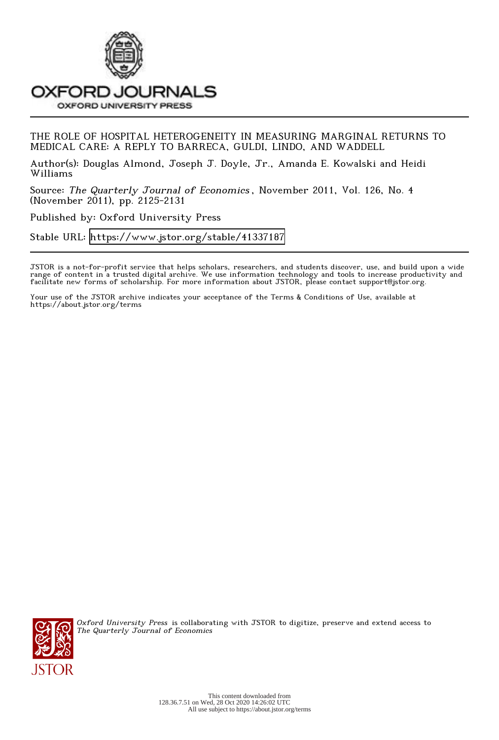

# THE ROLE OF HOSPITAL HETEROGENEITY IN MEASURING MARGINAL RETURNS TO MEDICAL CARE: A REPLY TO BARRECA, GULDI, LINDO, AND WADDELL

Author(s): Douglas Almond, Joseph J. Doyle, Jr., Amanda E. Kowalski and Heidi Williams

Source: The Quarterly Journal of Economics , November 2011, Vol. 126, No. 4 (November 2011), pp. 2125-2131

Published by: Oxford University Press

Stable URL:<https://www.jstor.org/stable/41337187>

JSTOR is a not-for-profit service that helps scholars, researchers, and students discover, use, and build upon a wide range of content in a trusted digital archive. We use information technology and tools to increase productivity and facilitate new forms of scholarship. For more information about JSTOR, please contact support@jstor.org.

Your use of the JSTOR archive indicates your acceptance of the Terms & Conditions of Use, available at https://about.jstor.org/terms



Oxford University Press is collaborating with JSTOR to digitize, preserve and extend access to The Quarterly Journal of Economics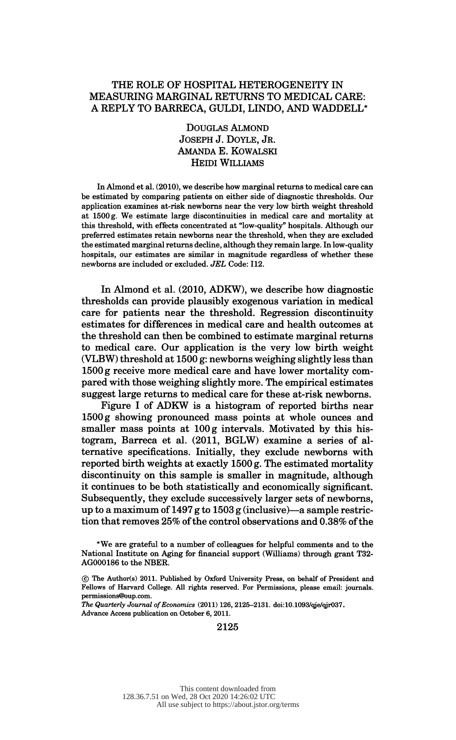## THE ROLE OF HOSPITAL HETEROGENEITY IN MEASURING MARGINAL RETURNS TO MEDICAL CARE: A REPLY TO BARRECA, GULDI, LINDO, AND WADDELL\*

 Douglas Almond Joseph J. Doyle, Jr. Amanda E. Kowalski Heidi Williams

 In Almond et al. (2010), we describe how marginal returns to medical care can be estimated by comparing patients on either side of diagnostic thresholds. Our application examines at-risk newborns near the very low birth weight threshold at 1500 g. We estimate large discontinuities in medical care and mortality at this threshold, with effects concentrated at "low-quality" hospitals. Although our preferred estimates retain newborns near the threshold, when they are excluded the estimated marginal returns decline, although they remain large. In low-quality hospitals, our estimates are similar in magnitude regardless of whether these newborns are included or excluded. JEL Code: 112.

 In Almond et al. (2010, ADKW), we describe how diagnostic thresholds can provide plausibly exogenous variation in medical care for patients near the threshold. Regression discontinuity estimates for differences in medical care and health outcomes at the threshold can then be combined to estimate marginal returns to medical care. Our application is the very low birth weight (VLBW) threshold at 1500 g: newborns weighing slightly less than 1500 g receive more medical care and have lower mortality com pared with those weighing slightly more. The empirical estimates suggest large returns to medical care for these at-risk newborns.

 Figure I of ADKW is a histogram of reported births near 1500 g showing pronounced mass points at whole ounces and smaller mass points at 100 g intervals. Motivated by this his togram, Barreca et al. (2011, BGLW) examine a series of al ternative specifications. Initially, they exclude newborns with reported birth weights at exactly 1500 g. The estimated mortality discontinuity on this sample is smaller in magnitude, although it continues to be both statistically and economically significant. Subsequently, they exclude successively larger sets of newborns, up to a maximum of 1497 g to 1503 g (inclusive)—a sample restriction that removes 25% of the control observations and 0.38% of the

 The Quarterly Journal of Economics (2011) 126, 2125-2131. doi:10.1093/qje/qjr037. Advance Access publication on October 6, 2011.

2125

 <sup>\*</sup>We are grateful to a number of colleagues for helpful comments and to the National Institute on Aging for financial support (Williams) through grant T32- AG000186 to the NBER.

 <sup>(</sup>c) The Author(s) 2011. Published by Oxford University Press, on behalf of President and Fellows of Harvard College. All rights reserved. For Permissions, please email: journals. permissions@oup.com.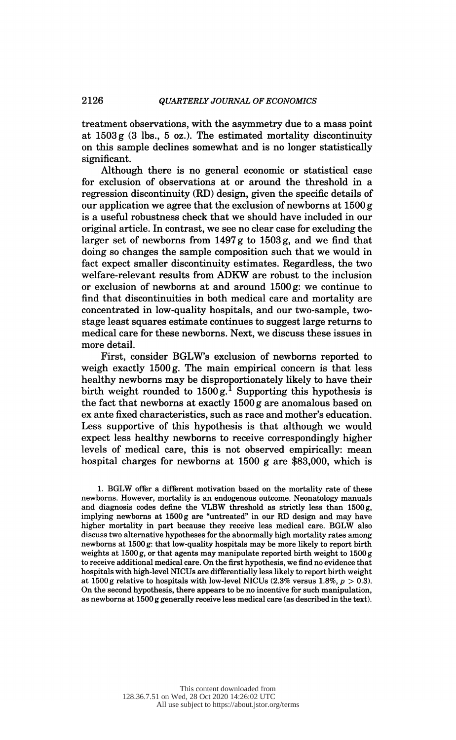treatment observations, with the asymmetry due to a mass point at  $1503 g$  (3 lbs., 5 oz.). The estimated mortality discontinuity on this sample declines somewhat and is no longer statistically significant.

 Although there is no general economic or statistical case for exclusion of observations at or around the threshold in a regression discontinuity (RD) design, given the specific details of our application we agree that the exclusion of newborns at  $1500 g$  is a useful robustness check that we should have included in our original article. In contrast, we see no clear case for excluding the larger set of newborns from 1497 g to 1503 g, and we find that doing so changes the sample composition such that we would in fact expect smaller discontinuity estimates. Regardless, the two welfare-relevant results from ADKW are robust to the inclusion or exclusion of newborns at and around 1500 g: we continue to find that discontinuities in both medical care and mortality are concentrated in low-quality hospitals, and our two-sample, two stage least squares estimate continues to suggest large returns to medical care for these newborns. Next, we discuss these issues in more detail.

 First, consider BGLWs exclusion of newborns reported to weigh exactly 1500 g. The main empirical concern is that less healthy newborns may be disproportionately likely to have their birth weight rounded to  $1500 g$ .<sup>1</sup> Supporting this hypothesis is the fact that newborns at exactly 1500 g are anomalous based on ex ante fixed characteristics, such as race and mother's education. Less supportive of this hypothesis is that although we would expect less healthy newborns to receive correspondingly higher levels of medical care, this is not observed empirically: mean hospital charges for newborns at 1500 g are \$83,000, which is

 1. BGLW offer a different motivation based on the mortality rate of these newborns. However, mortality is an endogenous outcome. Neonatology manuals and diagnosis codes define the VLBW threshold as strictly less than 1500 g, implying newborns at 1500 g are "untreated" in our RD design and may have higher mortality in part because they receive less medical care. BGLW also discuss two alternative hypotheses for the abnormally high mortality rates among newborns at 1500 g: that low-quality hospitals may be more likely to report birth weights at 1500 g, or that agents may manipulate reported birth weight to 1500 g to receive additional medical care. On the first hypothesis, we find no evidence that hospitals with high-level NICUs are differentially less likely to report birth weight at 1500 g relative to hospitals with low-level NICUs  $(2.3\%$  versus 1.8%,  $p > 0.3$ ). On the second hypothesis, there appears to be no incentive for such manipulation, as newborns at 1500 g generally receive less medical care (as described in the text).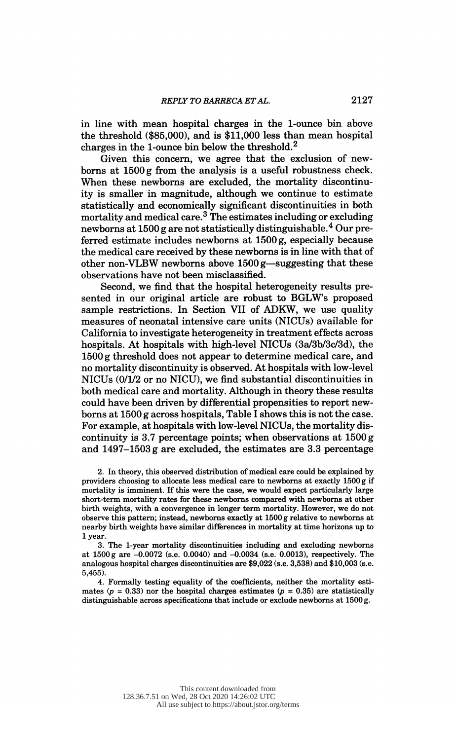in line with mean hospital charges in the 1-ounce bin above the threshold (\$85,000), and is \$11,000 less than mean hospital charges in the 1-ounce bin below the threshold.2

 Given this concern, we agree that the exclusion of new borns at 1500 g from the analysis is a useful robustness check. When these newborns are excluded, the mortality discontinu ity is smaller in magnitude, although we continue to estimate statistically and economically significant discontinuities in both mortality and medical care.<sup>3</sup> The estimates including or excluding newborns at 1500 g are not statistically distinguishable.4 Our pre ferred estimate includes newborns at 1500 g, especially because the medical care received by these newborns is in line with that of other non-VLBW newborns above  $1500$  g—suggesting that these observations have not been misclassified.

 Second, we find that the hospital heterogeneity results pre sented in our original article are robust to BGLW's proposed sample restrictions. In Section VII of ADKW, we use quality measures of neonatal intensive care units (NICUs) available for California to investigate heterogeneity in treatment effects across hospitals. At hospitals with high-level NICUs (3a/3b/3c/3d), the 1500 g threshold does not appear to determine medical care, and no mortality discontinuity is observed. At hospitals with low-level NICUs (0/1/2 or no NICU), we find substantial discontinuities in both medical care and mortality. Although in theory these results could have been driven by differential propensities to report new borns at 1500 g across hospitals, Table I shows this is not the case. For example, at hospitals with low-level NICUs, the mortality dis continuity is 3.7 percentage points; when observations at 1500 g and 1497-1503 g are excluded, the estimates are 3.3 percentage

 2. In theory, this observed distribution of medical care could be explained by providers choosing to allocate less medical care to newborns at exactly 1500 g if mortality is imminent. If this were the case, we would expect particularly large short-term mortality rates for these newborns compared with newborns at other birth weights, with a convergence in longer term mortality. However, we do not observe this pattern; instead, newborns exactly at 1500 g relative to newborns at nearby birth weights have similar differences in mortality at time horizons up to 1 year.

 3. The 1-year mortality discontinuities including and excluding newborns at  $1500 g$  are  $-0.0072$  (s.e. 0.0040) and  $-0.0034$  (s.e. 0.0013), respectively. The analogous hospital charges discontinuities are \$9,022 (s.e. 3,538) and \$10,003 (s.e. 5,455).

 4. Formally testing equality ot the coetñcients, neither the mortality esti mates ( $p = 0.33$ ) nor the hospital charges estimates ( $p = 0.35$ ) are statistically distinguishable across specifications that include or exclude newborns at 1500 g.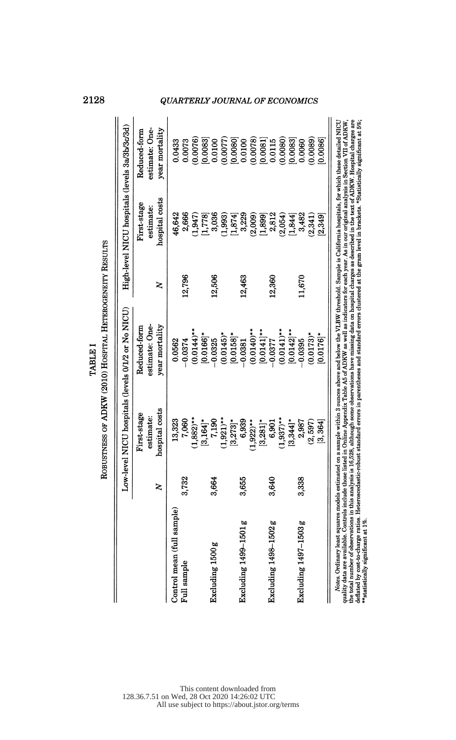| <b>QUARTERLY JOURNAL OF ECONOMICS</b><br>High-level NICU hospitals (levels 3a/3b/3c/3d)<br>estimate: One-<br>year mortality<br>Reduced-form<br>(0.0078)<br>(0.0080)<br>(0.0076)<br>(0.0077)<br>(0.0089)<br>[0.0083]<br>[0.0080]<br>[0.0081]<br>[0.0083]<br>0.0100<br>0.0100<br>[0.0086]<br>0.0433<br>0.0073<br>0.0115<br>0.0060<br>hospital costs<br>First-stage<br>estimate:<br>46,642<br>2,666<br>$(1,947)$<br>[1,778]<br>3,036<br>(1,993)<br>3,229<br>(2,009)<br>2,812<br>(2,054)<br>3,482<br>(2, 341)<br>[1,874]<br>[1,899]<br>[1, 844]<br>[2, 349]<br>12,506<br>12,796<br>12,360<br>12,463<br>11,670<br>2<br>Low-level NICU hospitals (levels 0/1/2 or No NICU)<br>estimate: One-<br>Reduced-form<br>year mortality<br>$(0.0140)$ **<br>$(0.0144)$ **<br>$(0.0141)$ **<br>$[0.0142]$ **<br>$[0.0141]$ **<br>$[0.0166]^*$<br>$(0.0145)^*$<br>$[0.0158]$ *<br>$(0.0173)^*$<br>$[0.0176]^*$<br>0.0562<br>$-0.0374$<br>0.0325<br>0.0381<br>0.0395<br>$-0.0377$<br>hospital costs<br>First-stage<br>estimate:<br>$(1,882)$ **<br>$(1.921)$ **<br>$(1,937)$ **<br>13,323<br>7,060<br>7,190<br>6,939<br>$[3,164]$ *<br>6,901<br>$[3,344]$ *<br>(2, 597)<br>$[3,273]$ *<br>$[3,281]$ *<br>2,987<br>[3, 364]<br>$(1,922)$ **<br>3,732<br>3,664<br>3,655<br>3,640<br>3,338<br>z<br>sample) | <i>Notes.</i> Ordinary least squares models estimated on a sample within 3 ounces above and below the VLBW threshold. Sample is California hospitals, for which these detailed NICU quality data are available. Controls include th<br>Excluding 1497-1503 g |                                     |  | ROBUSTNESS OF ADKW (2010) HOSPITAL HETEROGENEITY RESULTS<br><b>TABLE I</b> |  | 2128 |
|---------------------------------------------------------------------------------------------------------------------------------------------------------------------------------------------------------------------------------------------------------------------------------------------------------------------------------------------------------------------------------------------------------------------------------------------------------------------------------------------------------------------------------------------------------------------------------------------------------------------------------------------------------------------------------------------------------------------------------------------------------------------------------------------------------------------------------------------------------------------------------------------------------------------------------------------------------------------------------------------------------------------------------------------------------------------------------------------------------------------------------------------------------------------------------------------------------------------------------------------------------------------------------------|--------------------------------------------------------------------------------------------------------------------------------------------------------------------------------------------------------------------------------------------------------------|-------------------------------------|--|----------------------------------------------------------------------------|--|------|
|                                                                                                                                                                                                                                                                                                                                                                                                                                                                                                                                                                                                                                                                                                                                                                                                                                                                                                                                                                                                                                                                                                                                                                                                                                                                                       |                                                                                                                                                                                                                                                              |                                     |  |                                                                            |  |      |
|                                                                                                                                                                                                                                                                                                                                                                                                                                                                                                                                                                                                                                                                                                                                                                                                                                                                                                                                                                                                                                                                                                                                                                                                                                                                                       |                                                                                                                                                                                                                                                              |                                     |  |                                                                            |  |      |
|                                                                                                                                                                                                                                                                                                                                                                                                                                                                                                                                                                                                                                                                                                                                                                                                                                                                                                                                                                                                                                                                                                                                                                                                                                                                                       |                                                                                                                                                                                                                                                              | Control mean (full s<br>Full sample |  |                                                                            |  |      |
|                                                                                                                                                                                                                                                                                                                                                                                                                                                                                                                                                                                                                                                                                                                                                                                                                                                                                                                                                                                                                                                                                                                                                                                                                                                                                       |                                                                                                                                                                                                                                                              | Excluding 1500 g                    |  |                                                                            |  |      |
|                                                                                                                                                                                                                                                                                                                                                                                                                                                                                                                                                                                                                                                                                                                                                                                                                                                                                                                                                                                                                                                                                                                                                                                                                                                                                       |                                                                                                                                                                                                                                                              | Excluding 1499–1501 g               |  |                                                                            |  |      |
|                                                                                                                                                                                                                                                                                                                                                                                                                                                                                                                                                                                                                                                                                                                                                                                                                                                                                                                                                                                                                                                                                                                                                                                                                                                                                       |                                                                                                                                                                                                                                                              | Excluding 1498-1502 g               |  |                                                                            |  |      |
|                                                                                                                                                                                                                                                                                                                                                                                                                                                                                                                                                                                                                                                                                                                                                                                                                                                                                                                                                                                                                                                                                                                                                                                                                                                                                       |                                                                                                                                                                                                                                                              |                                     |  |                                                                            |  |      |
|                                                                                                                                                                                                                                                                                                                                                                                                                                                                                                                                                                                                                                                                                                                                                                                                                                                                                                                                                                                                                                                                                                                                                                                                                                                                                       |                                                                                                                                                                                                                                                              |                                     |  |                                                                            |  |      |
|                                                                                                                                                                                                                                                                                                                                                                                                                                                                                                                                                                                                                                                                                                                                                                                                                                                                                                                                                                                                                                                                                                                                                                                                                                                                                       |                                                                                                                                                                                                                                                              |                                     |  |                                                                            |  |      |
|                                                                                                                                                                                                                                                                                                                                                                                                                                                                                                                                                                                                                                                                                                                                                                                                                                                                                                                                                                                                                                                                                                                                                                                                                                                                                       |                                                                                                                                                                                                                                                              |                                     |  |                                                                            |  |      |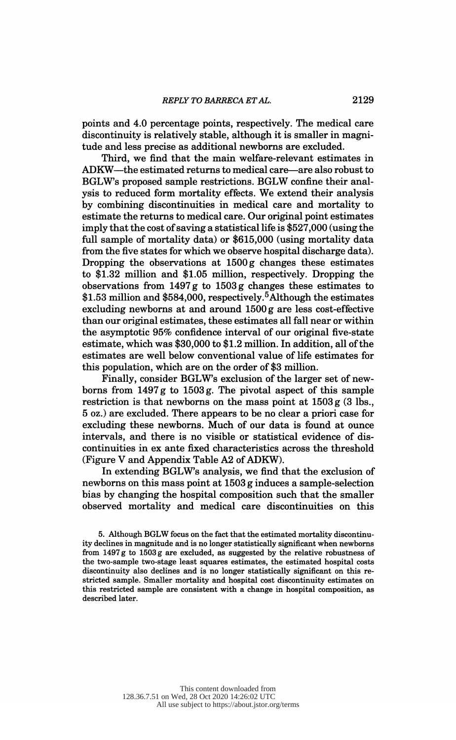points and 4.0 percentage points, respectively. The medical care discontinuity is relatively stable, although it is smaller in magni tude and less precise as additional newborns are excluded.

 Third, we find that the main welfare-relevant estimates in ADKW-the estimated returns to medical care-are also robust to BGLW's proposed sample restrictions. BGLW confine their anal ysis to reduced form mortality effects. We extend their analysis by combining discontinuities in medical care and mortality to estimate the returns to medical care. Our original point estimates imply that the cost of saving a statistical life is \$527,000 (using the full sample of mortality data) or \$615,000 (using mortality data from the five states for which we observe hospital discharge data). Dropping the observations at 1500 g changes these estimates to \$1.32 million and \$1.05 million, respectively. Dropping the observations from  $1497 g$  to  $1503 g$  changes these estimates to \$1.53 million and \$584,000, respectively.<sup>5</sup> Although the estimates excluding newborns at and around 1500 g are less cost-effective than our original estimates, these estimates all fall near or within the asymptotic 95% confidence interval of our original five-state estimate, which was \$30,000 to \$1.2 million. In addition, all of the estimates are well below conventional value of life estimates for this population, which are on the order of \$3 million.

 Finally, consider BGLW's exclusion of the larger set of new borns from 1497 g to 1503 g. The pivotal aspect of this sample restriction is that newborns on the mass point at  $1503 g$  (3 lbs., 5 oz.) are excluded. There appears to be no clear a priori case for excluding these newborns. Much of our data is found at ounce intervals, and there is no visible or statistical evidence of dis continuities in ex ante fixed characteristics across the threshold (Figure V and Appendix Table A2 of ADKW).

 In extending BGLW's analysis, we find that the exclusion of newborns on this mass point at 1503 g induces a sample-selection bias by changing the hospital composition such that the smaller observed mortality and medical care discontinuities on this

 5. Although BGLW focus on the fact that the estimated mortality discontinu ity declines in magnitude and is no longer statistically significant when newborns from 1497 g to 1503 g are excluded, as suggested by the relative robustness of the two-sample two-stage least squares estimates, the estimated hospital costs discontinuity also declines and is no longer statistically significant on this re stricted sample. Smaller mortality and hospital cost discontinuity estimates on this restricted sample are consistent with a change in hospital composition, as described later.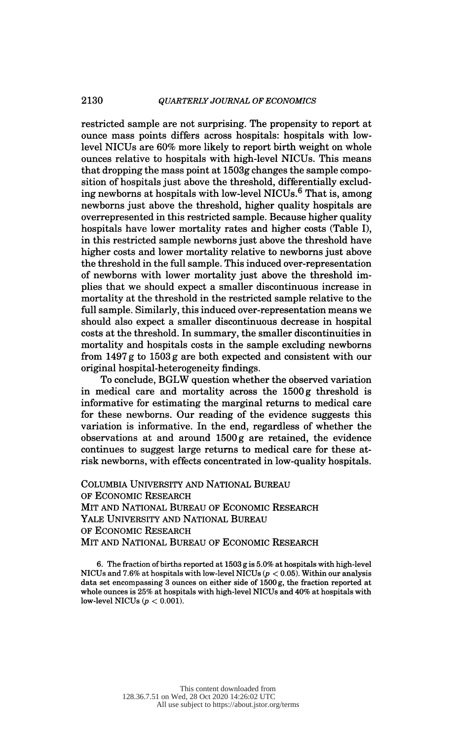## 2130 QUARTERLY JOURNAL OF ECONOMICS

 restricted sample are not surprising. The propensity to report at ounce mass points differs across hospitals: hospitals with low level NICUs are 60% more likely to report birth weight on whole ounces relative to hospitals with high-level NICUs. This means that dropping the mass point at 1503g changes the sample compo sition of hospitals just above the threshold, differentially exclud ing newborns at hospitals with low-level NICUs.6 That is, among newborns just above the threshold, higher quality hospitals are overrepresented in this restricted sample. Because higher quality hospitals have lower mortality rates and higher costs (Table I), in this restricted sample newborns just above the threshold have higher costs and lower mortality relative to newborns just above the threshold in the full sample. This induced over-representation of newborns with lower mortality just above the threshold im plies that we should expect a smaller discontinuous increase in mortality at the threshold in the restricted sample relative to the full sample. Similarly, this induced over-representation means we should also expect a smaller discontinuous decrease in hospital costs at the threshold. In summary, the smaller discontinuities in mortality and hospitals costs in the sample excluding newborns from 1497 g to 1503 g are both expected and consistent with our original hospital-heterogeneity findings.

 To conclude, BGLW question whether the observed variation in medical care and mortality across the 1500 g threshold is informative for estimating the marginal returns to medical care for these newborns. Our reading of the evidence suggests this variation is informative. In the end, regardless of whether the observations at and around 1500 g are retained, the evidence continues to suggest large returns to medical care for these at risk newborns, with effects concentrated in low-quality hospitals.

 Columbia University and National Bureau of Economic Research Mit and National Bureau of Economic Research Yale University and National Bureau of Economic Research Mit and National Bureau of Economic Research

 6. The fraction of births reported at 1503 g is 5.0% at hospitals with high-level NICUs and 7.6% at hospitals with low-level NICUs ( $p < 0.05$ ). Within our analysis data set encompassing 3 ounces on either side of 1500 g, the fraction reported at whole ounces is 25% at hospitals with high-level NICUs and 40% at hospitals with low-level NICUs  $(p < 0.001)$ .